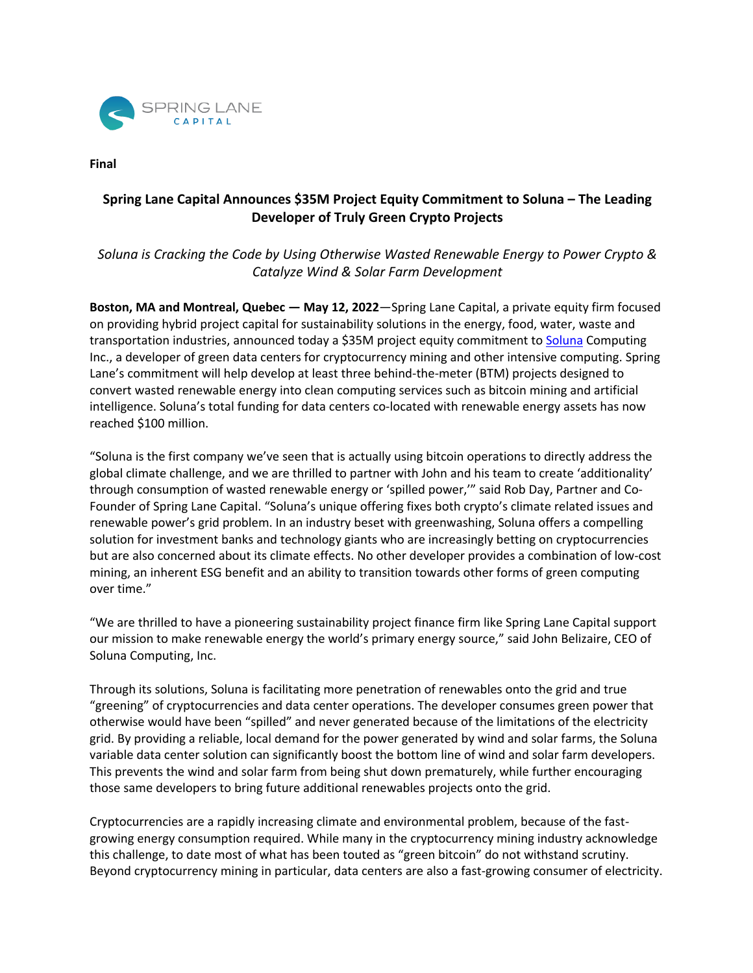

**Final** 

## **Spring Lane Capital Announces \$35M Project Equity Commitment to Soluna – The Leading Developer of Truly Green Crypto Projects**

*Soluna is Cracking the Code by Using Otherwise Wasted Renewable Energy to Power Crypto & Catalyze Wind & Solar Farm Development*

**Boston, MA and Montreal, Quebec — May 12, 2022**—Spring Lane Capital, a private equity firm focused on providing hybrid project capital for sustainability solutions in the energy, food, water, waste and transportation industries, announced today a \$35M project equity commitment to Soluna Computing Inc., a developer of green data centers for cryptocurrency mining and other intensive computing. Spring Lane's commitment will help develop at least three behind-the-meter (BTM) projects designed to convert wasted renewable energy into clean computing services such as bitcoin mining and artificial intelligence. Soluna's total funding for data centers co-located with renewable energy assets has now reached \$100 million.

"Soluna is the first company we've seen that is actually using bitcoin operations to directly address the global climate challenge, and we are thrilled to partner with John and his team to create 'additionality' through consumption of wasted renewable energy or 'spilled power,'" said Rob Day, Partner and Co-Founder of Spring Lane Capital. "Soluna's unique offering fixes both crypto's climate related issues and renewable power's grid problem. In an industry beset with greenwashing, Soluna offers a compelling solution for investment banks and technology giants who are increasingly betting on cryptocurrencies but are also concerned about its climate effects. No other developer provides a combination of low-cost mining, an inherent ESG benefit and an ability to transition towards other forms of green computing over time."

"We are thrilled to have a pioneering sustainability project finance firm like Spring Lane Capital support our mission to make renewable energy the world's primary energy source," said John Belizaire, CEO of Soluna Computing, Inc.

Through its solutions, Soluna is facilitating more penetration of renewables onto the grid and true "greening" of cryptocurrencies and data center operations. The developer consumes green power that otherwise would have been "spilled" and never generated because of the limitations of the electricity grid. By providing a reliable, local demand for the power generated by wind and solar farms, the Soluna variable data center solution can significantly boost the bottom line of wind and solar farm developers. This prevents the wind and solar farm from being shut down prematurely, while further encouraging those same developers to bring future additional renewables projects onto the grid.

Cryptocurrencies are a rapidly increasing climate and environmental problem, because of the fastgrowing energy consumption required. While many in the cryptocurrency mining industry acknowledge this challenge, to date most of what has been touted as "green bitcoin" do not withstand scrutiny. Beyond cryptocurrency mining in particular, data centers are also a fast-growing consumer of electricity.